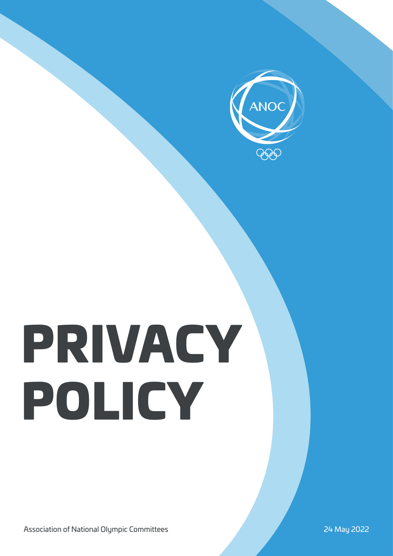

# PRIVACY POLICY

Association of National Olympic Committees 24 May 2022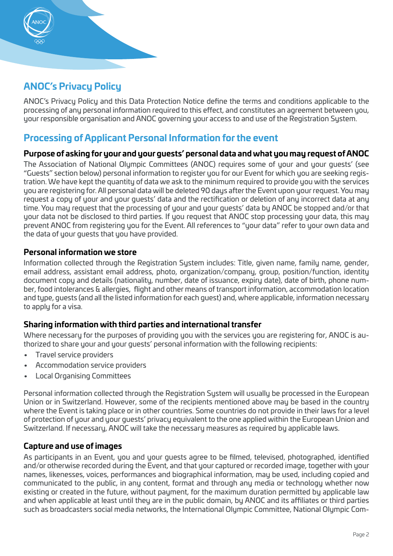

# **ANOC's Privacy Policy**

ANOC's Privacy Policy and this Data Protection Notice define the terms and conditions applicable to the processing of any personal information required to this effect, and constitutes an agreement between you, your responsible organisation and ANOC governing your access to and use of the Registration System.

# **Processing of Applicant Personal Information for the event**

# **Purpose of asking for your and your guests' personal data and what you may request of ANOC**

The Association of National Olympic Committees (ANOC) requires some of your and your quests' (see "Guests" section below) personal information to register you for our Event for which you are seeking registration. We have kept the quantity of data we ask to the minimum required to provide you with the services you are registering for. All personal data will be deleted 90 days after the Event upon your request. You may request a copy of your and your guests' data and the rectification or deletion of any incorrect data at any time. You may request that the processing of your and your guests' data by ANOC be stopped and/or that your data not be disclosed to third parties. If you request that ANOC stop processing your data, this may prevent ANOC from registering you for the Event. All references to "your data" refer to your own data and the data of your guests that you have provided.

# **Personal information we store**

Information collected through the Registration Sustem includes: Title, given name, family name, gender, email address, assistant email address, photo, organization/company, group, position/function, identity document copy and details (nationality, number, date of issuance, expiry date), date of birth, phone number, food intolerances & allergies, flight and other means of transport information, accommodation location and type, guests (and all the listed information for each guest) and, where applicable, information necessary to apply for a visa.

# **Sharing information with third parties and international transfer**

Where necessary for the purposes of providing you with the services you are registering for, ANOC is authorized to share your and your guests' personal information with the following recipients:

- Travel service providers
- Accommodation service providers
- Local Organising Committees

Personal information collected through the Registration System will usually be processed in the European Union or in Switzerland. However, some of the recipients mentioned above may be based in the country where the Event is taking place or in other countries. Some countries do not provide in their laws for a level of protection of your and your guests' privacy equivalent to the one applied within the European Union and Switzerland. If necessary, ANOC will take the necessary measures as required by applicable laws.

# **Capture and use of images**

As participants in an Event, you and your guests agree to be filmed, televised, photographed, identified and/or otherwise recorded during the Event, and that your captured or recorded image, together with your names, likenesses, voices, performances and biographical information, may be used, including copied and communicated to the public, in any content, format and through any media or technology whether now existing or created in the future, without payment, for the maximum duration permitted by applicable law and when applicable at least until they are in the public domain, by ANOC and its affiliates or third parties such as broadcasters social media networks, the International Olympic Committee, National Olympic Com-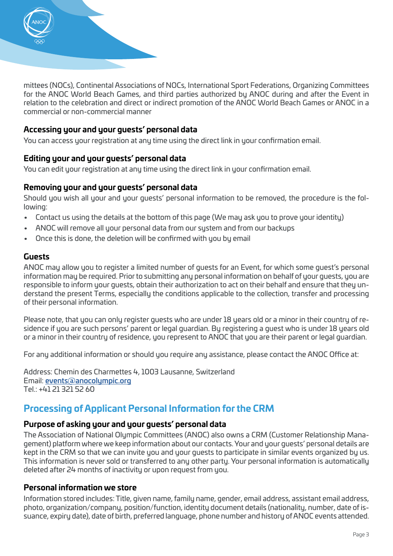

mittees (NOCs), Continental Associations of NOCs, International Sport Federations, Organizing Committees for the ANOC World Beach Games, and third parties authorized by ANOC during and after the Event in relation to the celebration and direct or indirect promotion of the ANOC World Beach Games or ANOC in a commercial or non-commercial manner

### **Accessing your and your guests' personal data**

You can access your registration at any time using the direct link in your confirmation email.

#### **Editing your and your guests' personal data**

You can edit your registration at any time using the direct link in your confirmation email.

#### **Removing your and your guests' personal data**

Should you wish all your and your guests' personal information to be removed, the procedure is the following:

- Contact us using the details at the bottom of this page (We may ask you to prove your identity)
- ANOC will remove all your personal data from our system and from our backups
- Once this is done, the deletion will be confirmed with you by email

#### **Guests**

ANOC may allow you to register a limited number of guests for an Event, for which some guest's personal information may be required. Prior to submitting any personal information on behalf of your guests, you are responsible to inform your guests, obtain their authorization to act on their behalf and ensure that they understand the present Terms, especially the conditions applicable to the collection, transfer and processing of their personal information.

Please note, that you can only register guests who are under 18 years old or a minor in their country of residence if you are such persons' parent or legal guardian. By registering a guest who is under 18 years old or a minor in their country of residence, you represent to ANOC that you are their parent or legal guardian.

For any additional information or should you require any assistance, please contact the ANOC Office at:

Address: Chemin des Charmettes 4, 1003 Lausanne, Switzerland Email: [events@anocolympic.org](mailto:events@anocolympic.org  ) Tel.: +41 21 321 52 60

# **Processing of Applicant Personal Information for the CRM**

#### **Purpose of asking your and your guests' personal data**

The Association of National Olympic Committees (ANOC) also owns a CRM (Customer Relationship Management) platform where we keep information about our contacts. Your and your guests' personal details are kept in the CRM so that we can invite you and your guests to participate in similar events organized by us. This information is never sold or transferred to any other party. Your personal information is automatically deleted after 24 months of inactivity or upon request from you.

#### **Personal information we store**

Information stored includes: Title, given name, family name, gender, email address, assistant email address, photo, organization/company, position/function, identity document details (nationality, number, date of issuance, expiry date), date of birth, preferred language, phone number and history of ANOC events attended.